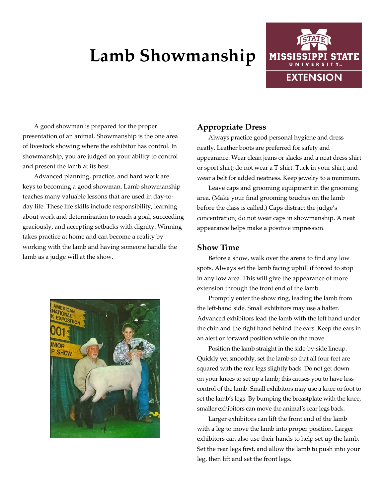# **Lamb Showmanship**



A good showman is prepared for the proper presentation of an animal. Showmanship is the one area of livestock showing where the exhibitor has control. In showmanship, you are judged on your ability to control and present the lamb at its best.

Advanced planning, practice, and hard work are keys to becoming a good showman. Lamb showmanship teaches many valuable lessons that are used in day-today life. These life skills include responsibility, learning about work and determination to reach a goal, succeeding graciously, and accepting setbacks with dignity. Winning takes practice at home and can become a reality by working with the lamb and having someone handle the lamb as a judge will at the show.



## **Appropriate Dress**

Always practice good personal hygiene and dress neatly. Leather boots are preferred for safety and appearance. Wear clean jeans or slacks and a neat dress shirt or sport shirt; do not wear a T-shirt. Tuck in your shirt, and wear a belt for added neatness. Keep jewelry to a minimum.

Leave caps and grooming equipment in the grooming area. (Make your final grooming touches on the lamb before the class is called.) Caps distract the judge's concentration; do not wear caps in showmanship. A neat appearance helps make a positive impression.

### **Show Time**

Before a show, walk over the arena to find any low spots. Always set the lamb facing uphill if forced to stop in any low area. This will give the appearance of more extension through the front end of the lamb.

Promptly enter the show ring, leading the lamb from the left-hand side. Small exhibitors may use a halter. Advanced exhibitors lead the lamb with the left hand under the chin and the right hand behind the ears. Keep the ears in an alert or forward position while on the move.

Position the lamb straight in the side-by-side lineup. Quickly yet smoothly, set the lamb so that all four feet are squared with the rear legs slightly back. Do not get down on your knees to set up a lamb; this causes you to have less control of the lamb. Small exhibitors may use a knee or foot to set the lamb's legs. By bumping the breastplate with the knee, smaller exhibitors can move the animal's rear legs back.

Larger exhibitors can lift the front end of the lamb with a leg to move the lamb into proper position. Larger exhibitors can also use their hands to help set up the lamb. Set the rear legs first, and allow the lamb to push into your leg, then lift and set the front legs.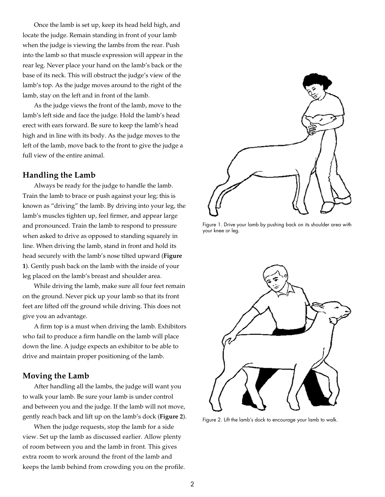Once the lamb is set up, keep its head held high, and locate the judge. Remain standing in front of your lamb when the judge is viewing the lambs from the rear. Push into the lamb so that muscle expression will appear in the rear leg. Never place your hand on the lamb's back or the base of its neck. This will obstruct the judge's view of the lamb's top. As the judge moves around to the right of the lamb, stay on the left and in front of the lamb.

As the judge views the front of the lamb, move to the lamb's left side and face the judge. Hold the lamb's head erect with ears forward. Be sure to keep the lamb's head high and in line with its body. As the judge moves to the left of the lamb, move back to the front to give the judge a full view of the entire animal.

#### **Handling the Lamb**

Always be ready for the judge to handle the lamb. Train the lamb to brace or push against your leg; this is known as "driving" the lamb. By driving into your leg, the lamb's muscles tighten up, feel firmer, and appear large and pronounced. Train the lamb to respond to pressure when asked to drive as opposed to standing squarely in line. When driving the lamb, stand in front and hold its head securely with the lamb's nose tilted upward (**Figure 1**). Gently push back on the lamb with the inside of your leg placed on the lamb's breast and shoulder area.

While driving the lamb, make sure all four feet remain on the ground. Never pick up your lamb so that its front feet are lifted off the ground while driving. This does not give you an advantage.

A firm top is a must when driving the lamb. Exhibitors who fail to produce a firm handle on the lamb will place down the line. A judge expects an exhibitor to be able to drive and maintain proper positioning of the lamb.

## **Moving the Lamb**

After handling all the lambs, the judge will want you to walk your lamb. Be sure your lamb is under control and between you and the judge. If the lamb will not move, gently reach back and lift up on the lamb's dock (**Figure 2**).

When the judge requests, stop the lamb for a side view. Set up the lamb as discussed earlier. Allow plenty of room between you and the lamb in front. This gives extra room to work around the front of the lamb and keeps the lamb behind from crowding you on the profile.



Figure 1. Drive your lamb by pushing back on its shoulder area with your knee or leg.



Figure 2. Lift the lamb's dock to encourage your lamb to walk.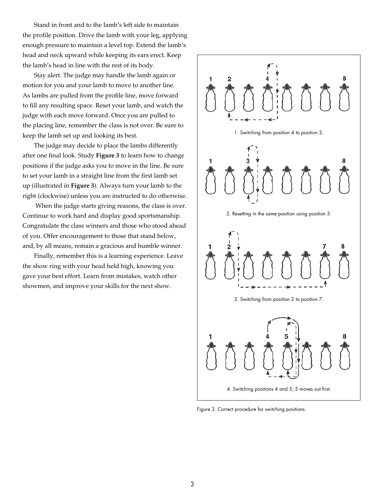Stand in front and to the lamb's left side to maintain the profile position. Drive the lamb with your leg, applying enough pressure to maintain a level top. Extend the lamb's head and neck upward while keeping its ears erect. Keep the lamb's head in line with the rest of its body.

Stay alert. The judge may handle the lamb again or motion for you and your lamb to move to another line. As lambs are pulled from the profile line, move forward to fill any resulting space. Reset your lamb, and watch the judge with each move forward. Once you are pulled to the placing line, remember the class is not over. Be sure to keep the lamb set up and looking its best.

The judge may decide to place the lambs differently after one final look. Study **Figure 3** to learn how to change positions if the judge asks you to move in the line. Be sure to set your lamb in a straight line from the first lamb set up (illustrated in **Figure 3**). Always turn your lamb to the right (clockwise) unless you are instructed to do otherwise.

 When the judge starts giving reasons, the class is over. Continue to work hard and display good sportsmanship. Congratulate the class winners and those who stood ahead of you. Offer encouragement to those that stand below, and, by all means, remain a gracious and humble winner.

Finally, remember this is a learning experience. Leave the show ring with your head held high, knowing you gave your best effort. Learn from mistakes, watch other showmen, and improve your skills for the next show.



Figure 3. Correct procedure for switching positions.